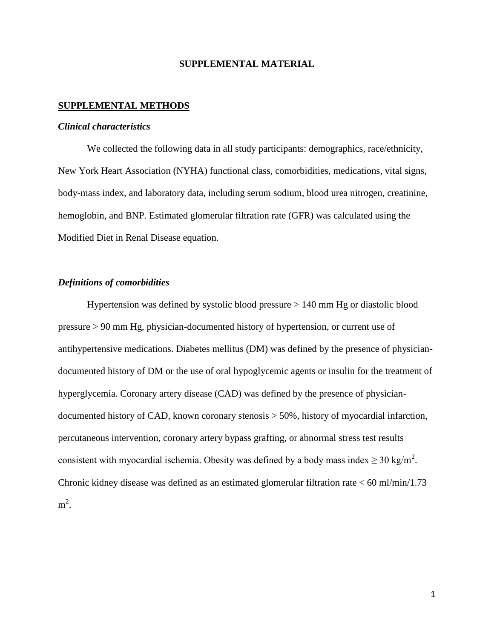### **SUPPLEMENTAL MATERIAL**

### **SUPPLEMENTAL METHODS**

#### *Clinical characteristics*

We collected the following data in all study participants: demographics, race/ethnicity, New York Heart Association (NYHA) functional class, comorbidities, medications, vital signs, body-mass index, and laboratory data, including serum sodium, blood urea nitrogen, creatinine, hemoglobin, and BNP. Estimated glomerular filtration rate (GFR) was calculated using the Modified Diet in Renal Disease equation.

### *Definitions of comorbidities*

Hypertension was defined by systolic blood pressure > 140 mm Hg or diastolic blood pressure > 90 mm Hg, physician-documented history of hypertension, or current use of antihypertensive medications. Diabetes mellitus (DM) was defined by the presence of physiciandocumented history of DM or the use of oral hypoglycemic agents or insulin for the treatment of hyperglycemia. Coronary artery disease (CAD) was defined by the presence of physiciandocumented history of CAD, known coronary stenosis > 50%, history of myocardial infarction, percutaneous intervention, coronary artery bypass grafting, or abnormal stress test results consistent with myocardial ischemia. Obesity was defined by a body mass index  $\geq 30 \text{ kg/m}^2$ . Chronic kidney disease was defined as an estimated glomerular filtration rate < 60 ml/min/1.73  $m^2$ .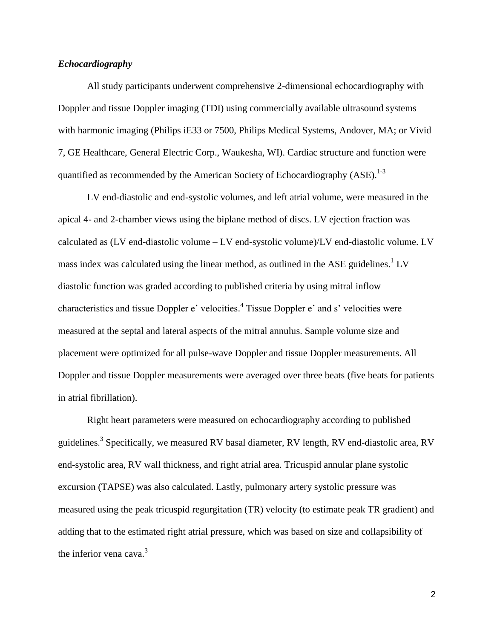### *Echocardiography*

All study participants underwent comprehensive 2-dimensional echocardiography with Doppler and tissue Doppler imaging (TDI) using commercially available ultrasound systems with harmonic imaging (Philips iE33 or 7500, Philips Medical Systems, Andover, MA; or Vivid 7, GE Healthcare, General Electric Corp., Waukesha, WI). Cardiac structure and function were quantified as recommended by the American Society of Echocardiography  $(ASE)$ .<sup>[1-3](#page-4-0)</sup>

LV end-diastolic and end-systolic volumes, and left atrial volume, were measured in the apical 4- and 2-chamber views using the biplane method of discs. LV ejection fraction was calculated as (LV end-diastolic volume – LV end-systolic volume)/LV end-diastolic volume. LV mass index was calculated using the linear method, as outlined in the ASE guidelines.<sup>[1](#page-4-0)</sup> LV diastolic function was graded according to published criteria by using mitral inflow characteristics and tissue Doppler e' velocities. [4](#page-4-1) Tissue Doppler e' and s' velocities were measured at the septal and lateral aspects of the mitral annulus. Sample volume size and placement were optimized for all pulse-wave Doppler and tissue Doppler measurements. All Doppler and tissue Doppler measurements were averaged over three beats (five beats for patients in atrial fibrillation).

Right heart parameters were measured on echocardiography according to published guidelines.<sup>[3](#page-4-2)</sup> Specifically, we measured RV basal diameter, RV length, RV end-diastolic area, RV end-systolic area, RV wall thickness, and right atrial area. Tricuspid annular plane systolic excursion (TAPSE) was also calculated. Lastly, pulmonary artery systolic pressure was measured using the peak tricuspid regurgitation (TR) velocity (to estimate peak TR gradient) and adding that to the estimated right atrial pressure, which was based on size and collapsibility of the inferior vena cava.<sup>[3](#page-4-2)</sup>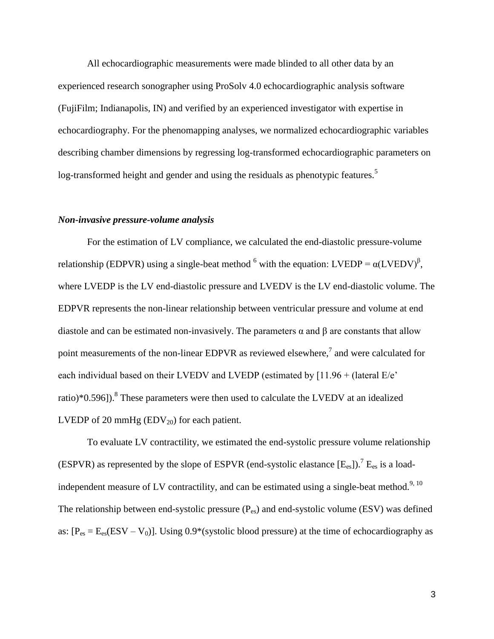All echocardiographic measurements were made blinded to all other data by an experienced research sonographer using ProSolv 4.0 echocardiographic analysis software (FujiFilm; Indianapolis, IN) and verified by an experienced investigator with expertise in echocardiography. For the phenomapping analyses, we normalized echocardiographic variables describing chamber dimensions by regressing log-transformed echocardiographic parameters on log-transformed height and gender and using the residuals as phenotypic features.<sup>[5](#page-4-3)</sup>

### *Non-invasive pressure-volume analysis*

For the estimation of LV compliance, we calculated the end-diastolic pressure-volume relationship (EDPVR) using a single-beat method <sup>[6](#page-4-4)</sup> with the equation: LVEDP =  $\alpha$ (LVEDV)<sup>β</sup>, where LVEDP is the LV end-diastolic pressure and LVEDV is the LV end-diastolic volume. The EDPVR represents the non-linear relationship between ventricular pressure and volume at end diastole and can be estimated non-invasively. The parameters  $\alpha$  and  $\beta$  are constants that allow point measurements of the non-linear EDPVR as reviewed elsewhere[,](#page-4-5)<sup>7</sup> and were calculated for each individual based on their LVEDV and LVEDP (estimated by [11.96 + (lateral E/e' ratio)\*0.596]).<sup>[8](#page-4-6)</sup> These parameters were then used to calculate the LVEDV at an idealized LVEDP of 20 mmHg  $(EDV_{20})$  for each patient.

To evaluate LV contractility, we estimated the end-systolic pressure volume relationship (ESPVR) as represented by the slope of ESPVR (end-systolic elastance  $[E_{es}]$ ).<sup>[7](#page-4-5)</sup>  $E_{es}$  is a load-independent measure of LV contractility, and can be estimated using a single-beat method.<sup>[9,](#page-4-7) [10](#page-4-8)</sup> The relationship between end-systolic pressure  $(P_{es})$  and end-systolic volume (ESV) was defined as:  $[P_{es} = E_{es}(ESV - V_0)]$ . Using 0.9\*(systolic blood pressure) at the time of echocardiography as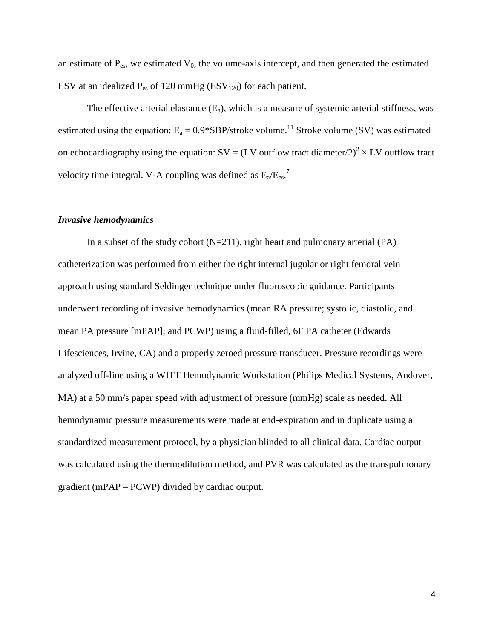an estimate of  $P_{es}$ , we estimated  $V_0$ , the volume-axis intercept, and then generated the estimated ESV at an idealized  $P_{es}$  of 120 mmHg (ESV<sub>120</sub>) for each patient.

The effective arterial elastance  $(E_a)$ , which is a measure of systemic arterial stiffness, was estimated using the equation:  $E_a = 0.9*SBP/\text{stroke volume}^{11}$  $E_a = 0.9*SBP/\text{stroke volume}^{11}$  $E_a = 0.9*SBP/\text{stroke volume}^{11}$  Stroke volume (SV) was estimated on echocardiography using the equation:  $SV = (LV \text{ outflow tract diameter}/2)^2 \times LV$  outflow tract velocity time integral. V-A coupling was defined as  $E_a/E_{es}$ .

### *Invasive hemodynamics*

In a subset of the study cohort  $(N=211)$ , right heart and pulmonary arterial  $(PA)$ catheterization was performed from either the right internal jugular or right femoral vein approach using standard Seldinger technique under fluoroscopic guidance. Participants underwent recording of invasive hemodynamics (mean RA pressure; systolic, diastolic, and mean PA pressure [mPAP]; and PCWP) using a fluid-filled, 6F PA catheter (Edwards Lifesciences, Irvine, CA) and a properly zeroed pressure transducer. Pressure recordings were analyzed off-line using a WITT Hemodynamic Workstation (Philips Medical Systems, Andover, MA) at a 50 mm/s paper speed with adjustment of pressure (mmHg) scale as needed. All hemodynamic pressure measurements were made at end-expiration and in duplicate using a standardized measurement protocol, by a physician blinded to all clinical data. Cardiac output was calculated using the thermodilution method, and PVR was calculated as the transpulmonary gradient (mPAP – PCWP) divided by cardiac output.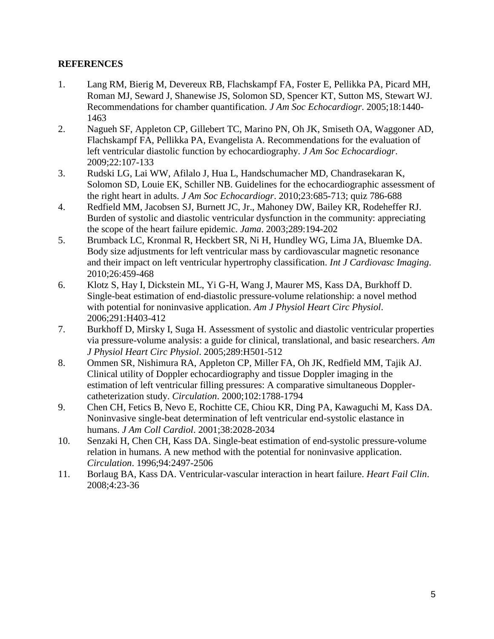## **REFERENCES**

- <span id="page-4-0"></span>1. Lang RM, Bierig M, Devereux RB, Flachskampf FA, Foster E, Pellikka PA, Picard MH, Roman MJ, Seward J, Shanewise JS, Solomon SD, Spencer KT, Sutton MS, Stewart WJ. Recommendations for chamber quantification. *J Am Soc Echocardiogr*. 2005;18:1440- 1463
- 2. Nagueh SF, Appleton CP, Gillebert TC, Marino PN, Oh JK, Smiseth OA, Waggoner AD, Flachskampf FA, Pellikka PA, Evangelista A. Recommendations for the evaluation of left ventricular diastolic function by echocardiography. *J Am Soc Echocardiogr*. 2009;22:107-133
- <span id="page-4-2"></span>3. Rudski LG, Lai WW, Afilalo J, Hua L, Handschumacher MD, Chandrasekaran K, Solomon SD, Louie EK, Schiller NB. Guidelines for the echocardiographic assessment of the right heart in adults. *J Am Soc Echocardiogr*. 2010;23:685-713; quiz 786-688
- <span id="page-4-1"></span>4. Redfield MM, Jacobsen SJ, Burnett JC, Jr., Mahoney DW, Bailey KR, Rodeheffer RJ. Burden of systolic and diastolic ventricular dysfunction in the community: appreciating the scope of the heart failure epidemic. *Jama*. 2003;289:194-202
- <span id="page-4-3"></span>5. Brumback LC, Kronmal R, Heckbert SR, Ni H, Hundley WG, Lima JA, Bluemke DA. Body size adjustments for left ventricular mass by cardiovascular magnetic resonance and their impact on left ventricular hypertrophy classification. *Int J Cardiovasc Imaging*. 2010;26:459-468
- <span id="page-4-4"></span>6. Klotz S, Hay I, Dickstein ML, Yi G-H, Wang J, Maurer MS, Kass DA, Burkhoff D. Single-beat estimation of end-diastolic pressure-volume relationship: a novel method with potential for noninvasive application. *Am J Physiol Heart Circ Physiol*. 2006;291:H403-412
- <span id="page-4-5"></span>7. Burkhoff D, Mirsky I, Suga H. Assessment of systolic and diastolic ventricular properties via pressure-volume analysis: a guide for clinical, translational, and basic researchers. *Am J Physiol Heart Circ Physiol*. 2005;289:H501-512
- <span id="page-4-6"></span>8. Ommen SR, Nishimura RA, Appleton CP, Miller FA, Oh JK, Redfield MM, Tajik AJ. Clinical utility of Doppler echocardiography and tissue Doppler imaging in the estimation of left ventricular filling pressures: A comparative simultaneous Dopplercatheterization study. *Circulation*. 2000;102:1788-1794
- <span id="page-4-7"></span>9. Chen CH, Fetics B, Nevo E, Rochitte CE, Chiou KR, Ding PA, Kawaguchi M, Kass DA. Noninvasive single-beat determination of left ventricular end-systolic elastance in humans. *J Am Coll Cardiol*. 2001;38:2028-2034
- <span id="page-4-8"></span>10. Senzaki H, Chen CH, Kass DA. Single-beat estimation of end-systolic pressure-volume relation in humans. A new method with the potential for noninvasive application. *Circulation*. 1996;94:2497-2506
- <span id="page-4-9"></span>11. Borlaug BA, Kass DA. Ventricular-vascular interaction in heart failure. *Heart Fail Clin*. 2008;4:23-36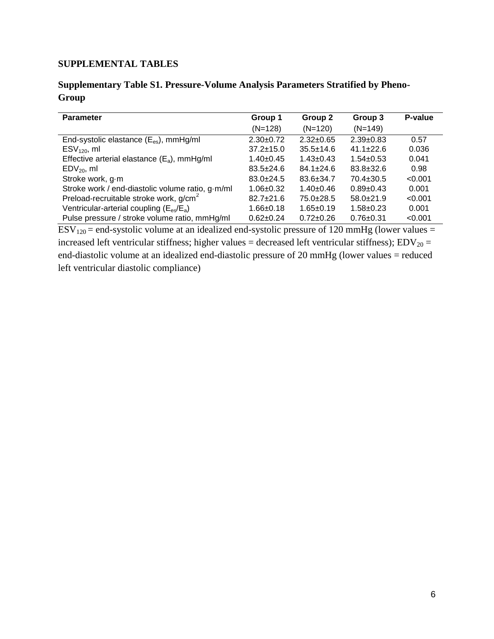## **SUPPLEMENTAL TABLES**

## **Supplementary Table S1. Pressure-Volume Analysis Parameters Stratified by Pheno-Group**

| <b>Parameter</b>                                   | Group 1         | Group 2         | Group 3         | P-value |
|----------------------------------------------------|-----------------|-----------------|-----------------|---------|
|                                                    | $(N=128)$       | $(N=120)$       | $(N=149)$       |         |
| End-systolic elastance $(E_{es})$ , mmHg/ml        | $2.30+0.72$     | $2.32 \pm 0.65$ | $2.39+0.83$     | 0.57    |
| $ESV120$ , ml                                      | $37.2 \pm 15.0$ | $35.5 \pm 14.6$ | $41.1 \pm 22.6$ | 0.036   |
| Effective arterial elastance $(E_a)$ , mmHg/ml     | $1.40+0.45$     | $1.43 \pm 0.43$ | $1.54 \pm 0.53$ | 0.041   |
| $EDV_{20}$ , ml                                    | $83.5 \pm 24.6$ | $84.1 \pm 24.6$ | $83.8 \pm 32.6$ | 0.98    |
| Stroke work, g-m                                   | $83.0+24.5$     | $83.6 \pm 34.7$ | $70.4 \pm 30.5$ | < 0.001 |
| Stroke work / end-diastolic volume ratio, g-m/ml   | $1.06 \pm 0.32$ | $1.40 \pm 0.46$ | $0.89 + 0.43$   | 0.001   |
| Preload-recruitable stroke work, g/cm <sup>2</sup> | $82.7 + 21.6$   | $75.0+28.5$     | $58.0+21.9$     | < 0.001 |
| Ventricular-arterial coupling $(E_{es}/E_a)$       | $1.66 \pm 0.18$ | $1.65 \pm 0.19$ | $1.58 + 0.23$   | 0.001   |
| Pulse pressure / stroke volume ratio, mmHg/ml      | $0.62 \pm 0.24$ | $0.72 \pm 0.26$ | $0.76 + 0.31$   | < 0.001 |

 $ESV<sub>120</sub>$  = end-systolic volume at an idealized end-systolic pressure of 120 mmHg (lower values = increased left ventricular stiffness; higher values = decreased left ventricular stiffness);  $EDV_{20}$  = end-diastolic volume at an idealized end-diastolic pressure of 20 mmHg (lower values = reduced left ventricular diastolic compliance)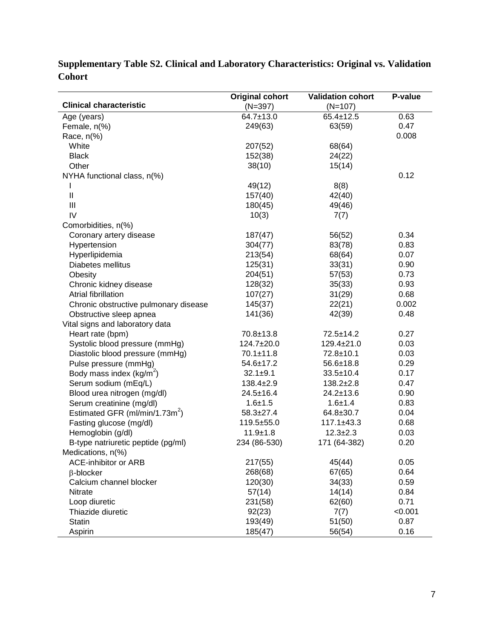|                                            | <b>Validation cohort</b><br><b>Original cohort</b> |                  | P-value |
|--------------------------------------------|----------------------------------------------------|------------------|---------|
| <b>Clinical characteristic</b>             | $(N=397)$                                          | $(N=107)$        |         |
| Age (years)                                | 64.7±13.0                                          | $65.4 \pm 12.5$  | 0.63    |
| Female, n(%)                               | 249(63)                                            | 63(59)           | 0.47    |
| Race, n(%)                                 |                                                    |                  | 0.008   |
| White                                      | 207(52)                                            | 68(64)           |         |
| <b>Black</b>                               | 152(38)                                            | 24(22)           |         |
| Other                                      | 38(10)                                             | 15(14)           |         |
| NYHA functional class, n(%)                |                                                    |                  | 0.12    |
| $\mathsf{l}$                               | 49(12)                                             | 8(8)             |         |
| $\begin{array}{c} \hline \end{array}$      | 157(40)                                            | 42(40)           |         |
| $\mathbf{III}$                             | 180(45)                                            | 49(46)           |         |
| IV                                         | 10(3)                                              | 7(7)             |         |
| Comorbidities, n(%)                        |                                                    |                  |         |
| Coronary artery disease                    | 187(47)                                            | 56(52)           | 0.34    |
| Hypertension                               | 304(77)                                            | 83(78)           | 0.83    |
| Hyperlipidemia                             | 213(54)                                            | 68(64)           | 0.07    |
| Diabetes mellitus                          | 125(31)                                            | 33(31)           | 0.90    |
| Obesity                                    | 204(51)                                            | 57(53)           | 0.73    |
| Chronic kidney disease                     | 128(32)                                            | 35(33)           | 0.93    |
| Atrial fibrillation                        | 107(27)                                            | 31(29)           | 0.68    |
| Chronic obstructive pulmonary disease      | 145(37)                                            | 22(21)           | 0.002   |
| Obstructive sleep apnea                    | 141(36)                                            | 42(39)           | 0.48    |
| Vital signs and laboratory data            |                                                    |                  |         |
| Heart rate (bpm)                           | 70.8±13.8                                          | $72.5 \pm 14.2$  | 0.27    |
| Systolic blood pressure (mmHg)             | 124.7±20.0                                         | $129.4 \pm 21.0$ | 0.03    |
| Diastolic blood pressure (mmHg)            | $70.1 \pm 11.8$                                    | 72.8±10.1        | 0.03    |
| Pulse pressure (mmHg)                      | $54.6 \pm 17.2$                                    | $56.6 \pm 18.8$  | 0.29    |
| Body mass index ( $kg/m^2$ )               | $32.1 \pm 9.1$                                     | $33.5 \pm 10.4$  | 0.17    |
| Serum sodium (mEq/L)                       | $138.4 \pm 2.9$                                    | $138.2 \pm 2.8$  | 0.47    |
| Blood urea nitrogen (mg/dl)                | $24.5 \pm 16.4$                                    | $24.2 \pm 13.6$  | 0.90    |
| Serum creatinine (mg/dl)                   | $1.6 + 1.5$                                        | $1.6 + 1.4$      | 0.83    |
| Estimated GFR (ml/min/1.73m <sup>2</sup> ) | $58.3 \pm 27.4$                                    | 64.8±30.7        | 0.04    |
| Fasting glucose (mg/dl)                    | 119.5±55.0                                         | $117.1 \pm 43.3$ | 0.68    |
| Hemoglobin (g/dl)                          | $11.9 \pm 1.8$                                     | $12.3 \pm 2.3$   | 0.03    |
| B-type natriuretic peptide (pg/ml)         | 234 (86-530)                                       | 171 (64-382)     | 0.20    |
| Medications, n(%)                          |                                                    |                  |         |
| <b>ACE-inhibitor or ARB</b>                | 217(55)                                            | 45(44)           | 0.05    |
| $\beta$ -blocker                           | 268(68)                                            | 67(65)           | 0.64    |
| Calcium channel blocker                    | 120(30)                                            | 34(33)           | 0.59    |
| Nitrate                                    | 57(14)                                             | 14(14)           | 0.84    |
| Loop diuretic                              | 231(58)                                            | 62(60)           | 0.71    |
| Thiazide diuretic                          | 92(23)                                             | 7(7)             | < 0.001 |
| <b>Statin</b>                              | 193(49)                                            | 51(50)           | 0.87    |
| Aspirin                                    | 185(47)                                            | 56(54)           | 0.16    |

# **Supplementary Table S2. Clinical and Laboratory Characteristics: Original vs. Validation Cohort**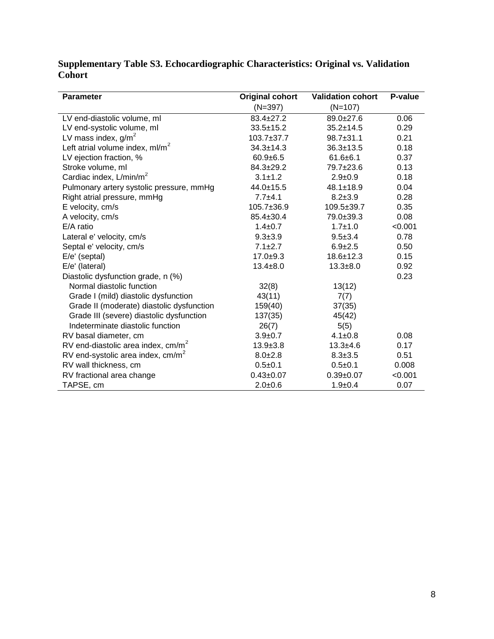| <b>Parameter</b>                          | <b>Original cohort</b> | <b>Validation cohort</b> | P-value |
|-------------------------------------------|------------------------|--------------------------|---------|
|                                           | $(N=397)$              | $(N=107)$                |         |
| LV end-diastolic volume, ml               | $83.4 \pm 27.2$        | 89.0±27.6                | 0.06    |
| LV end-systolic volume, ml                | $33.5 \pm 15.2$        | $35.2 \pm 14.5$          | 0.29    |
| LV mass index, $g/m^2$                    | $103.7 + 37.7$         | $98.7 \pm 31.1$          | 0.21    |
| Left atrial volume index, $ml/m2$         | $34.3 \pm 14.3$        | $36.3 \pm 13.5$          | 0.18    |
| LV ejection fraction, %                   | $60.9 + 6.5$           | $61.6 \pm 6.1$           | 0.37    |
| Stroke volume, ml                         | $84.3 \pm 29.2$        | 79.7±23.6                | 0.13    |
| Cardiac index, L/min/m <sup>2</sup>       | $3.1 \pm 1.2$          | $2.9 \pm 0.9$            | 0.18    |
| Pulmonary artery systolic pressure, mmHg  | $44.0 \pm 15.5$        | $48.1 \pm 18.9$          | 0.04    |
| Right atrial pressure, mmHg               | $7.7 + 4.1$            | $8.2 \pm 3.9$            | 0.28    |
| E velocity, cm/s                          | $105.7 + 36.9$         | $109.5 \pm 39.7$         | 0.35    |
| A velocity, cm/s                          | $85.4 \pm 30.4$        | 79.0±39.3                | 0.08    |
| E/A ratio                                 | $1.4 \pm 0.7$          | $1.7 + 1.0$              | < 0.001 |
| Lateral e' velocity, cm/s                 | $9.3 \pm 3.9$          | $9.5 \pm 3.4$            | 0.78    |
| Septal e' velocity, cm/s                  | $7.1 \pm 2.7$          | $6.9 \pm 2.5$            | 0.50    |
| E/e' (septal)                             | $17.0 + 9.3$           | $18.6 \pm 12.3$          | 0.15    |
| E/e' (lateral)                            | $13.4 + 8.0$           | $13.3 + 8.0$             | 0.92    |
| Diastolic dysfunction grade, n (%)        |                        |                          | 0.23    |
| Normal diastolic function                 | 32(8)                  | 13(12)                   |         |
| Grade I (mild) diastolic dysfunction      | 43(11)                 | 7(7)                     |         |
| Grade II (moderate) diastolic dysfunction | 159(40)                | 37(35)                   |         |
| Grade III (severe) diastolic dysfunction  | 137(35)                | 45(42)                   |         |
| Indeterminate diastolic function          | 26(7)                  | 5(5)                     |         |
| RV basal diameter, cm                     | $3.9 \pm 0.7$          | $4.1 \pm 0.8$            | 0.08    |
| RV end-diastolic area index, $cm/m2$      | $13.9 \pm 3.8$         | $13.3 + 4.6$             | 0.17    |
| RV end-systolic area index, $cm/m2$       | $8.0 \pm 2.8$          | $8.3 \pm 3.5$            | 0.51    |
| RV wall thickness, cm                     | $0.5 + 0.1$            | $0.5 + 0.1$              | 0.008   |
| RV fractional area change                 | $0.43 \pm 0.07$        | $0.39 + 0.07$            | < 0.001 |
| TAPSE, cm                                 | $2.0 + 0.6$            | $1.9 + 0.4$              | 0.07    |

## **Supplementary Table S3. Echocardiographic Characteristics: Original vs. Validation Cohort**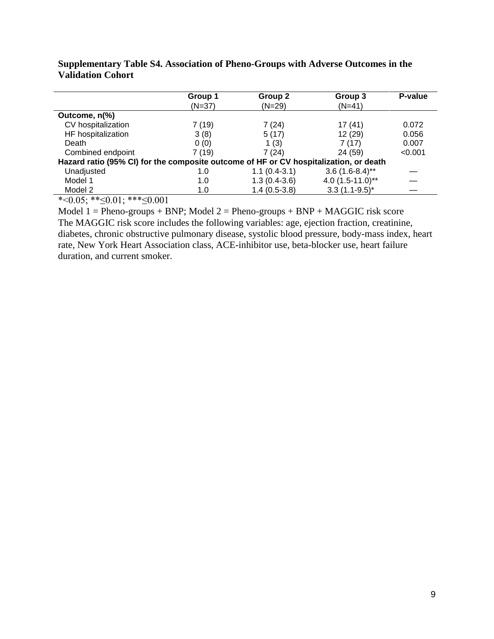|                                                                                       | Group 1  | Group 2        | Group 3             | P-value |  |  |
|---------------------------------------------------------------------------------------|----------|----------------|---------------------|---------|--|--|
|                                                                                       | $(N=37)$ | $(N=29)$       | $(N=41)$            |         |  |  |
| Outcome, n(%)                                                                         |          |                |                     |         |  |  |
| CV hospitalization                                                                    | 7(19)    | 7(24)          | 17 (41)             | 0.072   |  |  |
| HF hospitalization                                                                    | 3(8)     | 5(17)          | 12 (29)             | 0.056   |  |  |
| Death                                                                                 | 0(0)     | 1 $(3)$        | 7(17)               | 0.007   |  |  |
| Combined endpoint                                                                     | 7 (19)   | 7(24)          | 24 (59)             | < 0.001 |  |  |
| Hazard ratio (95% CI) for the composite outcome of HF or CV hospitalization, or death |          |                |                     |         |  |  |
| Unadjusted                                                                            | 1.0      | $1.1(0.4-3.1)$ | $3.6(1.6-8.4)$ **   |         |  |  |
| Model 1                                                                               | 1.0      | $1.3(0.4-3.6)$ | 4.0 $(1.5-11.0)$ ** |         |  |  |
| Model 2                                                                               | 1.0      | $1.4(0.5-3.8)$ | $3.3(1.1-9.5)^{*}$  |         |  |  |

**Supplementary Table S4. Association of Pheno-Groups with Adverse Outcomes in the Validation Cohort**

\*< $0.05$ ; \*\* $\leq 0.01$ ; \*\*\* $\leq 0.001$ 

Model  $1 =$  Pheno-groups + BNP; Model  $2 =$  Pheno-groups + BNP + MAGGIC risk score The MAGGIC risk score includes the following variables: age, ejection fraction, creatinine, diabetes, chronic obstructive pulmonary disease, systolic blood pressure, body-mass index, heart rate, New York Heart Association class, ACE-inhibitor use, beta-blocker use, heart failure duration, and current smoker.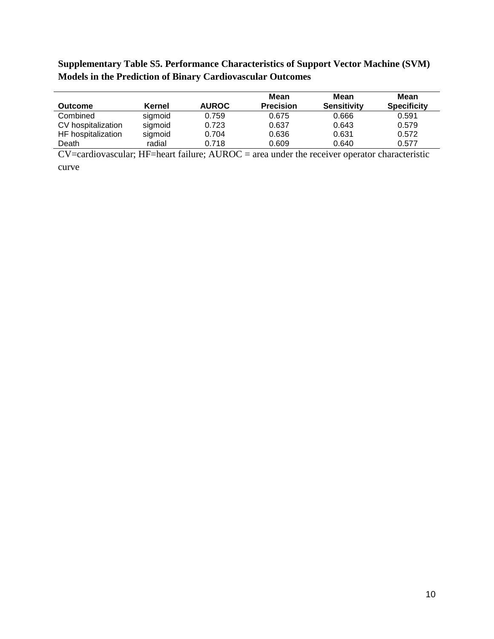## **Supplementary Table S5. Performance Characteristics of Support Vector Machine (SVM) Models in the Prediction of Binary Cardiovascular Outcomes**

| <b>Outcome</b>     | Kernel  | <b>AUROC</b> | Mean<br><b>Precision</b> | Mean<br><b>Sensitivity</b> | Mean<br><b>Specificity</b> |
|--------------------|---------|--------------|--------------------------|----------------------------|----------------------------|
| Combined           | sigmoid | 0.759        | 0.675                    | 0.666                      | 0.591                      |
| CV hospitalization | sigmoid | 0.723        | 0.637                    | 0.643                      | 0.579                      |
| HF hospitalization | sigmoid | 0.704        | 0.636                    | 0.631                      | 0.572                      |
| Death              | radial  | 0.718        | 0.609                    | 0.640                      | 0.577                      |

 $CV =$ cardiovascular; HF=heart failure;  $AUROC =$  area under the receiver operator characteristic curve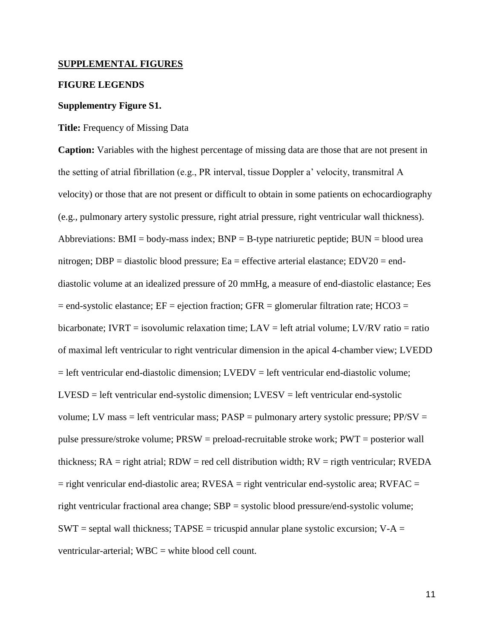### **SUPPLEMENTAL FIGURES**

### **FIGURE LEGENDS**

#### **Supplementry Figure S1.**

#### **Title:** Frequency of Missing Data

**Caption:** Variables with the highest percentage of missing data are those that are not present in the setting of atrial fibrillation (e.g., PR interval, tissue Doppler a' velocity, transmitral A velocity) or those that are not present or difficult to obtain in some patients on echocardiography (e.g., pulmonary artery systolic pressure, right atrial pressure, right ventricular wall thickness). Abbreviations:  $BMI = body-mass index$ ;  $BNP = B-type$  natriuretic peptide;  $BUN = blood$  urea nitrogen; DBP = diastolic blood pressure; Ea = effective arterial elastance; EDV20 = enddiastolic volume at an idealized pressure of 20 mmHg, a measure of end-diastolic elastance; Ees  $=$  end-systolic elastance; EF = ejection fraction; GFR = glomerular filtration rate; HCO3 = bicarbonate; IVRT = isovolumic relaxation time;  $LAV = left$  atrial volume;  $LV/RV$  ratio = ratio of maximal left ventricular to right ventricular dimension in the apical 4-chamber view; LVEDD = left ventricular end-diastolic dimension; LVEDV = left ventricular end-diastolic volume;  $LVESD = left$  ventricular end-systolic dimension;  $LVESV = left$  ventricular end-systolic volume; LV mass = left ventricular mass;  $PASP =$  pulmonary artery systolic pressure;  $PP/SV =$ pulse pressure/stroke volume; PRSW = preload-recruitable stroke work; PWT = posterior wall thickness;  $RA = right$  atrial;  $RDW = red$  cell distribution width;  $RV = right$  ventricular;  $RVEDA$  $=$  right venricular end-diastolic area; RVESA  $=$  right ventricular end-systolic area; RVFAC  $=$ right ventricular fractional area change; SBP = systolic blood pressure/end-systolic volume;  $SWT =$  septal wall thickness;  $TAPSE =$  tricuspid annular plane systolic excursion;  $V-A =$ ventricular-arterial; WBC = white blood cell count.